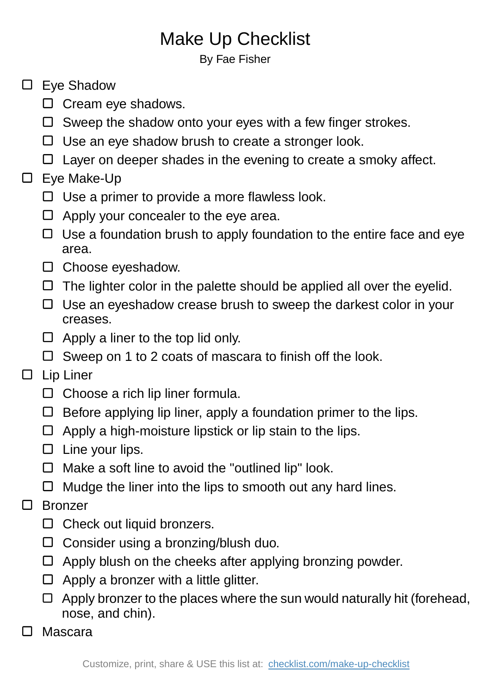## Make Up Checklist

By Fae Fisher

## □ Eve Shadow

- $\Box$  Cream eye shadows.
- $\Box$  Sweep the shadow onto your eyes with a few finger strokes.
- $\Box$  Use an eye shadow brush to create a stronger look.
- $\Box$  Layer on deeper shades in the evening to create a smoky affect.

## □ Eye Make-Up

- $\Box$  Use a primer to provide a more flawless look.
- $\Box$  Apply your concealer to the eye area.
- $\Box$  Use a foundation brush to apply foundation to the entire face and eye area.
- $\square$  Choose eyeshadow.
- $\Box$  The lighter color in the palette should be applied all over the eyelid.
- $\Box$  Use an eyeshadow crease brush to sweep the darkest color in your creases.
- $\Box$  Apply a liner to the top lid only.
- $\Box$  Sweep on 1 to 2 coats of mascara to finish off the look.

## $\square$  Lip Liner

- $\Box$  Choose a rich lip liner formula.
- $\Box$  Before applying lip liner, apply a foundation primer to the lips.
- $\Box$  Apply a high-moisture lipstick or lip stain to the lips.
- $\square$  Line your lips.
- $\Box$  Make a soft line to avoid the "outlined lip" look.
- $\Box$  Mudge the liner into the lips to smooth out any hard lines.
- □ Bronzer
	- $\Box$  Check out liquid bronzers.
	- $\Box$  Consider using a bronzing/blush duo.
	- $\Box$  Apply blush on the cheeks after applying bronzing powder.
	- $\Box$  Apply a bronzer with a little glitter.
	- $\Box$  Apply bronzer to the places where the sun would naturally hit (forehead, nose, and chin).
	- Mascara